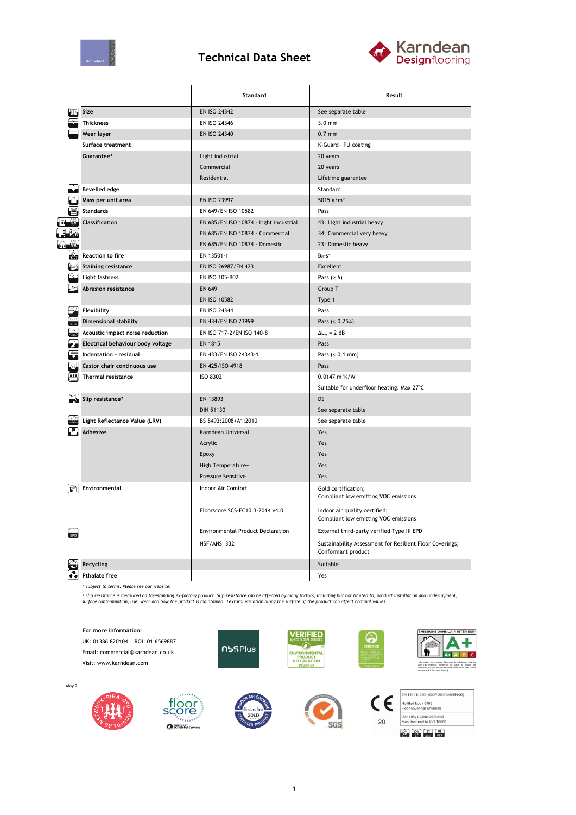

## **Technical Data Sheet**



|                |                                   | Standard                                 | Result                                                                |
|----------------|-----------------------------------|------------------------------------------|-----------------------------------------------------------------------|
|                | Size                              | EN ISO 24342                             | See separate table                                                    |
|                | <b>Thickness</b>                  | EN ISO 24346                             | $3.0 \text{ mm}$                                                      |
|                | Wear layer                        | EN ISO 24340                             | $0.7$ mm                                                              |
|                | Surface treatment                 |                                          | K-Guard+ PU coating                                                   |
|                | Guarantee <sup>1</sup>            | Light industrial                         | 20 years                                                              |
|                |                                   | Commercial                               | 20 years                                                              |
|                |                                   | Residential                              | Lifetime guarantee                                                    |
|                | <b>Bevelled edge</b>              |                                          | Standard                                                              |
|                | Mass per unit area                | EN ISO 23997                             | 5015 $g/m^2$                                                          |
|                | <b>Standards</b>                  | EN 649/EN ISO 10582                      | Pass                                                                  |
|                | Classification                    | EN 685/EN ISO 10874 - Light industrial   | 43: Light industrial heavy                                            |
|                |                                   | EN 685/EN ISO 10874 - Commercial         | 34: Commercial very heavy                                             |
| <b>COMPANY</b> |                                   | EN 685/EN ISO 10874 - Domestic           | 23: Domestic heavy                                                    |
| -Se            | <b>Reaction to fire</b>           | EN 13501-1                               | $B_{fl}$ -s1                                                          |
|                | <b>Staining resistance</b>        | EN ISO 26987/EN 423                      | Excellent                                                             |
|                | Light fastness                    | EN ISO 105-B02                           | Pass $(≥ 6)$                                                          |
|                | Abrasion resistance               | EN 649                                   | Group T                                                               |
|                |                                   | EN ISO 10582                             | Type 1                                                                |
|                | Flexibility                       | EN ISO 24344                             | Pass                                                                  |
|                | <b>Dimensional stability</b>      | EN 434/EN ISO 23999                      | Pass $( \le 0.25\%)$                                                  |
|                | Acoustic impact noise reduction   | EN ISO 717-2/EN ISO 140-8                | $\Delta L_w = 2 dB$                                                   |
|                | Electrical behaviour body voltage | <b>EN 1815</b>                           | Pass                                                                  |
|                | Indentation - residual            | EN 433/EN ISO 24343-1                    | Pass $( \le 0.1$ mm)                                                  |
|                | Castor chair continuous use       | EN 425/ISO 4918                          | Pass                                                                  |
|                | Thermal resistance                | <b>ISO 8302</b>                          | $0.0147 m^2K/W$                                                       |
|                |                                   |                                          | Suitable for underfloor heating. Max 27°C                             |
| ₩              | Slip resistance <sup>2</sup>      | EN 13893                                 | DS                                                                    |
|                |                                   | <b>DIN 51130</b>                         | See separate table                                                    |
|                | Light Reflectance Value (LRV)     | BS 8493:2008+A1:2010                     | See separate table                                                    |
|                | Adhesive                          | Karndean Universal                       | Yes                                                                   |
|                |                                   | Acrylic                                  | Yes                                                                   |
|                |                                   | Epoxy                                    | Yes                                                                   |
|                |                                   | High Temperature+                        | Yes                                                                   |
|                |                                   | <b>Pressure Sensitive</b>                | Yes                                                                   |
|                |                                   |                                          |                                                                       |
|                | Environmental                     | Indoor Air Comfort                       | Gold certification;<br>Compliant low emitting VOC emissions           |
|                |                                   |                                          |                                                                       |
|                |                                   | Floorscore SCS-EC10.3-2014 v4.0          | Indoor air quality certified;<br>Compliant low emitting VOC emissions |
|                |                                   | <b>Environmental Product Declaration</b> | External third-party verified Type III EPD                            |
|                |                                   | NSF/ANSI 332                             | Sustainability Assessment for Resilient Floor Coverings;              |
|                |                                   |                                          | Conformant product                                                    |
|                | Recycling                         |                                          | Suitable                                                              |
|                | <b>Pthalate free</b>              |                                          | Yes                                                                   |

*¹ Subject to terms. Please see our website.*

<sup>2</sup> Slip resistance is measured on freestanding ex-factory product. Slip resistance can be affected by many factors, including but not limited to; product installation and underlayment,<br>surface contamination, use, wear and

**For more information:**

UK: 01386 820104 | ROI: 01 6569887 Email: commercial@karndean.co.uk Visit: www.karndean.com



















| 20 |
|----|

| EN 14041: 2004 (DOP 2017/AS/EN/02) |
|------------------------------------|
| Notified body 0493                 |
| Floor coverings (internal)         |
| ISO 10874 Class 23/34/43           |
| Manufactured to ISO 10582          |